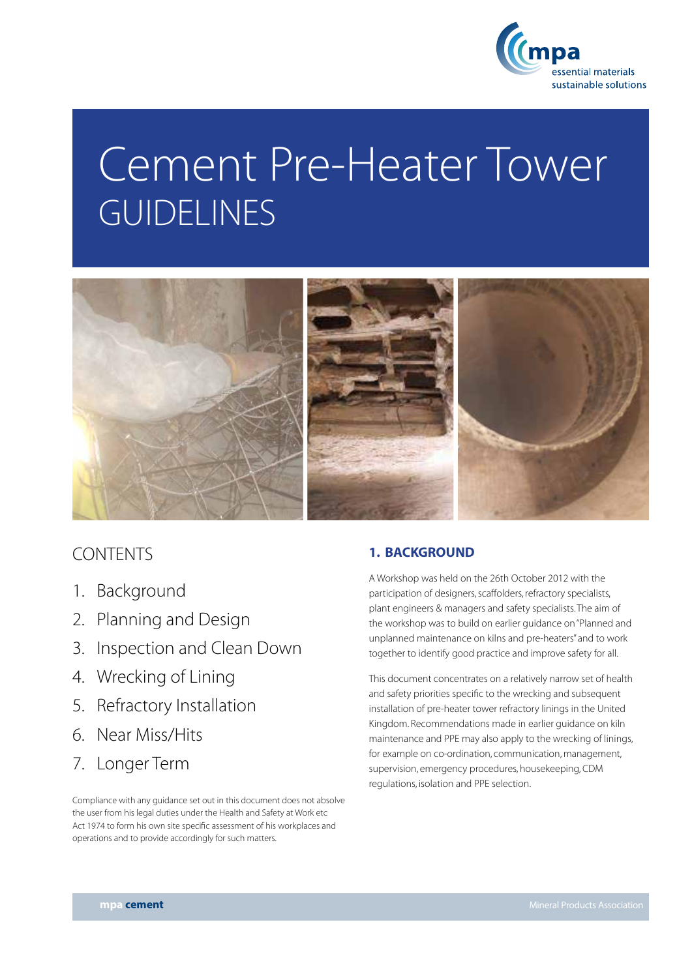

# Cement Pre-Heater Tower **GUIDELINES**



# **CONTENTS**

- 1. Background
- 2. Planning and Design
- 3. Inspection and Clean Down
- 4. Wrecking of Lining
- 5. Refractory Installation
- 6. Near Miss/Hits
- 7. Longer Term

Compliance with any guidance set out in this document does not absolve the user from his legal duties under the Health and Safety at Work etc Act 1974 to form his own site specific assessment of his workplaces and operations and to provide accordingly for such matters.

# 1. BACKGROUND

A Workshop was held on the 26th October 2012 with the participation of designers, scaffolders, refractory specialists, plant engineers & managers and safety specialists. The aim of the workshop was to build on earlier guidance on "Planned and unplanned maintenance on kilns and pre-heaters" and to work together to identify good practice and improve safety for all.

This document concentrates on a relatively narrow set of health and safety priorities specific to the wrecking and subsequent installation of pre-heater tower refractory linings in the United Kingdom. Recommendations made in earlier guidance on kiln maintenance and PPE may also apply to the wrecking of linings, for example on co-ordination, communication, management, supervision, emergency procedures, housekeeping, CDM regulations, isolation and PPE selection.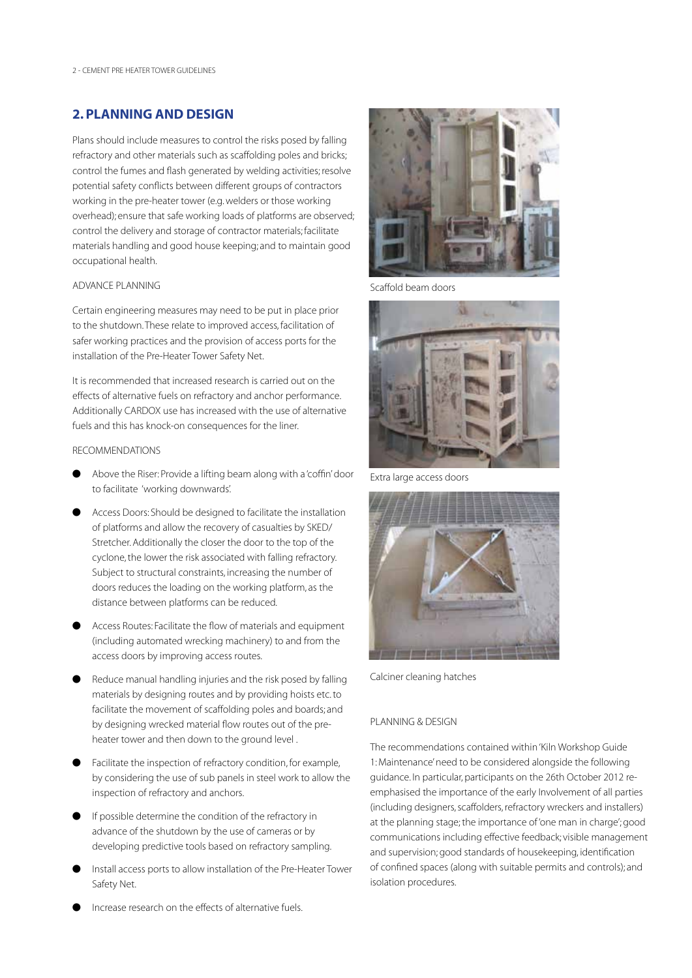# 2. PLANNING AND DESIGN

Plans should include measures to control the risks posed by falling refractory and other materials such as scaffolding poles and bricks; control the fumes and flash generated by welding activities; resolve potential safety conflicts between different groups of contractors working in the pre-heater tower (e.g. welders or those working overhead); ensure that safe working loads of platforms are observed; control the delivery and storage of contractor materials; facilitate materials handling and good house keeping; and to maintain good occupational health.

# Advance Planning

Certain engineering measures may need to be put in place prior to the shutdown. These relate to improved access, facilitation of safer working practices and the provision of access ports for the installation of the Pre-Heater Tower Safety Net.

It is recommended that increased research is carried out on the effects of alternative fuels on refractory and anchor performance. Additionally CARDOX use has increased with the use of alternative fuels and this has knock-on consequences for the liner.

# Recommendations

- l Above the Riser: Provide a lifting beam along with a 'coffin' door to facilitate 'working downwards'.
- Access Doors: Should be designed to facilitate the installation of platforms and allow the recovery of casualties by SKED/ Stretcher. Additionally the closer the door to the top of the cyclone, the lower the risk associated with falling refractory. Subject to structural constraints, increasing the number of doors reduces the loading on the working platform, as the distance between platforms can be reduced.
- Access Routes: Facilitate the flow of materials and equipment (including automated wrecking machinery) to and from the access doors by improving access routes.
- Reduce manual handling injuries and the risk posed by falling materials by designing routes and by providing hoists etc. to facilitate the movement of scaffolding poles and boards; and by designing wrecked material flow routes out of the preheater tower and then down to the ground level .
- Facilitate the inspection of refractory condition, for example, by considering the use of sub panels in steel work to allow the inspection of refractory and anchors.
- $\bullet$  If possible determine the condition of the refractory in advance of the shutdown by the use of cameras or by developing predictive tools based on refractory sampling.
- Install access ports to allow installation of the Pre-Heater Tower Safety Net.



Scaffold beam doors



Extra large access doors



Calciner cleaning hatches

# Planning & Design

The recommendations contained within 'Kiln Workshop Guide 1: Maintenance' need to be considered alongside the following guidance. In particular, participants on the 26th October 2012 reemphasised the importance of the early Involvement of all parties (including designers, scaffolders, refractory wreckers and installers) at the planning stage; the importance of 'one man in charge'; good communications including effective feedback; visible management and supervision; good standards of housekeeping, identification of confined spaces (along with suitable permits and controls); and isolation procedures.

l Increase research on the effects of alternative fuels.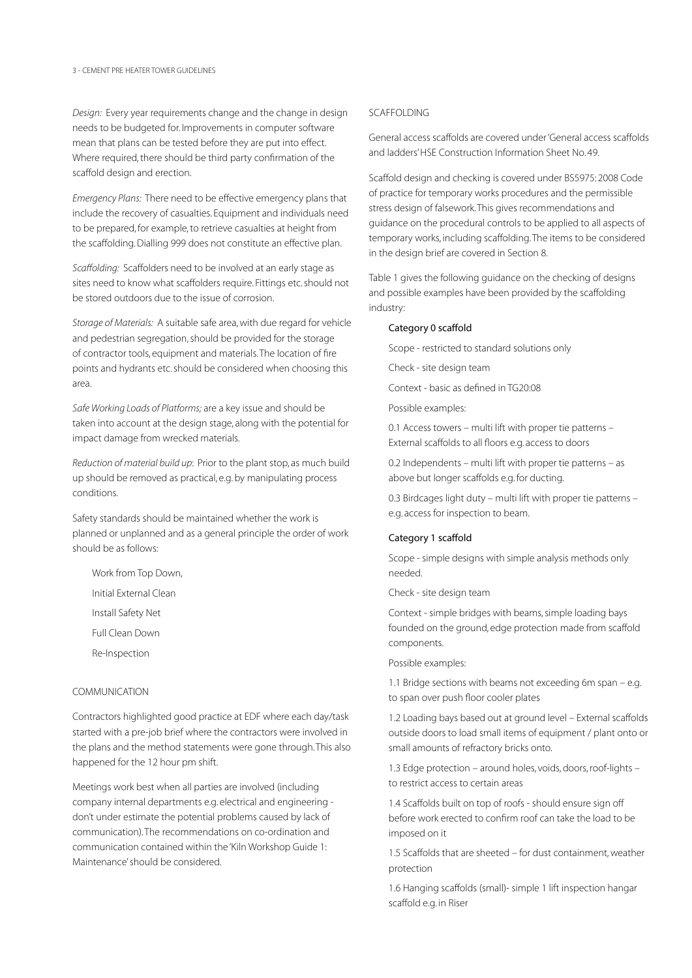*Design:* Every year requirements change and the change in design needs to be budgeted for. Improvements in computer software mean that plans can be tested before they are put into effect. Where required, there should be third party confirmation of the scaffold design and erection.

*Emergency Plans:* There need to be effective emergency plans that include the recovery of casualties. Equipment and individuals need to be prepared, for example, to retrieve casualties at height from the scaffolding. Dialling 999 does not constitute an effective plan.

*Scaffolding:* Scaffolders need to be involved at an early stage as sites need to know what scaffolders require. Fittings etc. should not be stored outdoors due to the issue of corrosion.

*Storage of Materials:* A suitable safe area, with due regard for vehicle and pedestrian segregation, should be provided for the storage of contractor tools, equipment and materials. The location of fire points and hydrants etc. should be considered when choosing this area.

*Safe Working Loads of Platforms;* are a key issue and should be taken into account at the design stage, along with the potential for impact damage from wrecked materials.

*Reduction of material build up*: Prior to the plant stop, as much build up should be removed as practical, e.g. by manipulating process conditions.

Safety standards should be maintained whether the work is planned or unplanned and as a general principle the order of work should be as follows:

Work from Top Down,

Initial External Clean

Install Safety Net

Full Clean Down

Re-Inspection

# **COMMUNICATION**

Contractors highlighted good practice at EDF where each day/task started with a pre-job brief where the contractors were involved in the plans and the method statements were gone through. This also happened for the 12 hour pm shift.

Meetings work best when all parties are involved (including company internal departments e.g. electrical and engineering don't under estimate the potential problems caused by lack of communication). The recommendations on co-ordination and communication contained within the 'Kiln Workshop Guide 1: Maintenance' should be considered.

# **SCAFFOLDING**

General access scaffolds are covered under 'General access scaffolds and ladders' HSE Construction Information Sheet No. 49.

Scaffold design and checking is covered under BS5975: 2008 Code of practice for temporary works procedures and the permissible stress design of falsework. This gives recommendations and guidance on the procedural controls to be applied to all aspects of temporary works, including scaffolding. The items to be considered in the design brief are covered in Section 8.

Table 1 gives the following guidance on the checking of designs and possible examples have been provided by the scaffolding industry:

## Category 0 scaffold

Scope - restricted to standard solutions only

Check - site design team

Context - basic as defined in TG20:08

Possible examples:

0.1 Access towers – multi lift with proper tie patterns – External scaffolds to all floors e.g. access to doors

0.2 Independents – multi lift with proper tie patterns – as above but longer scaffolds e.g. for ducting.

0.3 Birdcages light duty – multi lift with proper tie patterns – e.g. access for inspection to beam.

# Category 1 scaffold

Scope - simple designs with simple analysis methods only needed.

Check - site design team

Context - simple bridges with beams, simple loading bays founded on the ground, edge protection made from scaffold components.

Possible examples:

1.1 Bridge sections with beams not exceeding 6m span – e.g. to span over push floor cooler plates

1.2 Loading bays based out at ground level – External scaffolds outside doors to load small items of equipment / plant onto or small amounts of refractory bricks onto.

1.3 Edge protection – around holes, voids, doors, roof-lights – to restrict access to certain areas

1.4 Scaffolds built on top of roofs - should ensure sign off before work erected to confirm roof can take the load to be imposed on it

1.5 Scaffolds that are sheeted – for dust containment, weather protection

1.6 Hanging scaffolds (small)- simple 1 lift inspection hangar scaffold e.g. in Riser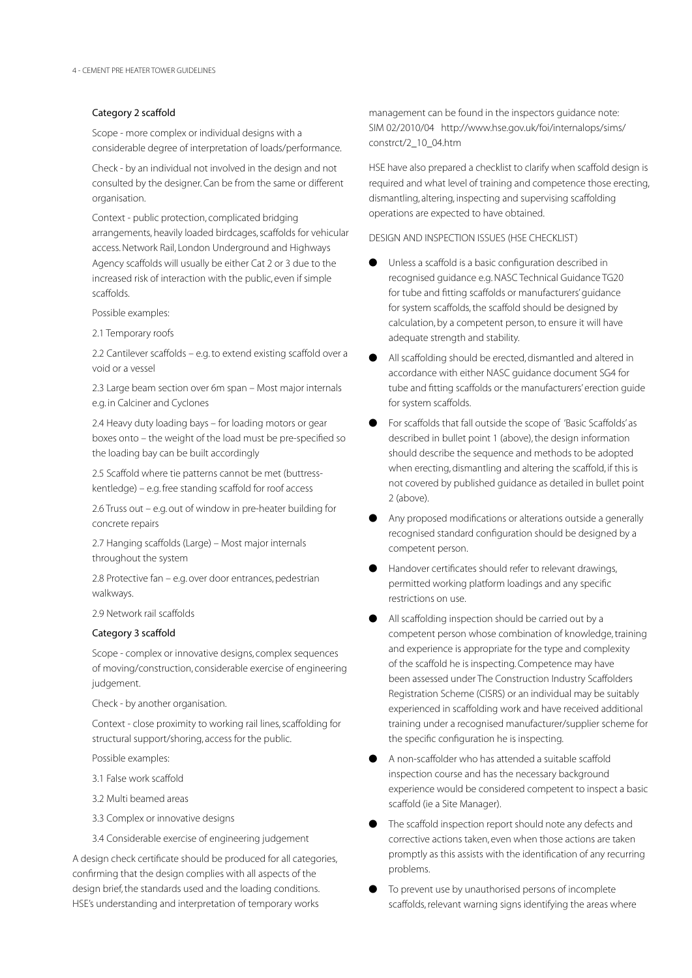# Category 2 scaffold

Scope - more complex or individual designs with a considerable degree of interpretation of loads/performance.

Check - by an individual not involved in the design and not consulted by the designer. Can be from the same or different organisation.

Context - public protection, complicated bridging arrangements, heavily loaded birdcages, scaffolds for vehicular access. Network Rail, London Underground and Highways Agency scaffolds will usually be either Cat 2 or 3 due to the increased risk of interaction with the public, even if simple scaffolds.

Possible examples:

2.1 Temporary roofs

2.2 Cantilever scaffolds – e.g. to extend existing scaffold over a void or a vessel

2.3 Large beam section over 6m span – Most major internals e.g. in Calciner and Cyclones

2.4 Heavy duty loading bays – for loading motors or gear boxes onto – the weight of the load must be pre-specified so the loading bay can be built accordingly

2.5 Scaffold where tie patterns cannot be met (buttresskentledge) – e.g. free standing scaffold for roof access

2.6 Truss out – e.g. out of window in pre-heater building for concrete repairs

2.7 Hanging scaffolds (Large) – Most major internals throughout the system

2.8 Protective fan – e.g. over door entrances, pedestrian walkways.

2.9 Network rail scaffolds

# Category 3 scaffold

Scope - complex or innovative designs, complex sequences of moving/construction, considerable exercise of engineering judgement.

Check - by another organisation.

Context - close proximity to working rail lines, scaffolding for structural support/shoring, access for the public.

Possible examples:

- 3.1 False work scaffold
- 3.2 Multi beamed areas
- 3.3 Complex or innovative designs
- 3.4 Considerable exercise of engineering judgement

A design check certificate should be produced for all categories, confirming that the design complies with all aspects of the design brief, the standards used and the loading conditions. HSE's understanding and interpretation of temporary works

management can be found in the inspectors guidance note: SIM 02/2010/04 http://www.hse.gov.uk/foi/internalops/sims/ constrct/2\_10\_04.htm

HSE have also prepared a checklist to clarify when scaffold design is required and what level of training and competence those erecting, dismantling, altering, inspecting and supervising scaffolding operations are expected to have obtained.

Design and inspection issues (HSE Checklist)

- l Unless a scaffold is a basic configuration described in recognised guidance e.g. NASC Technical Guidance TG20 for tube and fitting scaffolds or manufacturers' guidance for system scaffolds, the scaffold should be designed by calculation, by a competent person, to ensure it will have adequate strength and stability.
- All scaffolding should be erected, dismantled and altered in accordance with either NASC guidance document SG4 for tube and fitting scaffolds or the manufacturers' erection guide for system scaffolds.
- For scaffolds that fall outside the scope of 'Basic Scaffolds' as described in bullet point 1 (above), the design information should describe the sequence and methods to be adopted when erecting, dismantling and altering the scaffold, if this is not covered by published guidance as detailed in bullet point 2 (above).
- l Any proposed modifications or alterations outside a generally recognised standard configuration should be designed by a competent person.
- l Handover certificates should refer to relevant drawings, permitted working platform loadings and any specific restrictions on use.
- All scaffolding inspection should be carried out by a competent person whose combination of knowledge, training and experience is appropriate for the type and complexity of the scaffold he is inspecting. Competence may have been assessed under The Construction Industry Scaffolders Registration Scheme (CISRS) or an individual may be suitably experienced in scaffolding work and have received additional training under a recognised manufacturer/supplier scheme for the specific configuration he is inspecting.
- l A non-scaffolder who has attended a suitable scaffold inspection course and has the necessary background experience would be considered competent to inspect a basic scaffold (ie a Site Manager).
- The scaffold inspection report should note any defects and corrective actions taken, even when those actions are taken promptly as this assists with the identification of any recurring problems.
- To prevent use by unauthorised persons of incomplete scaffolds, relevant warning signs identifying the areas where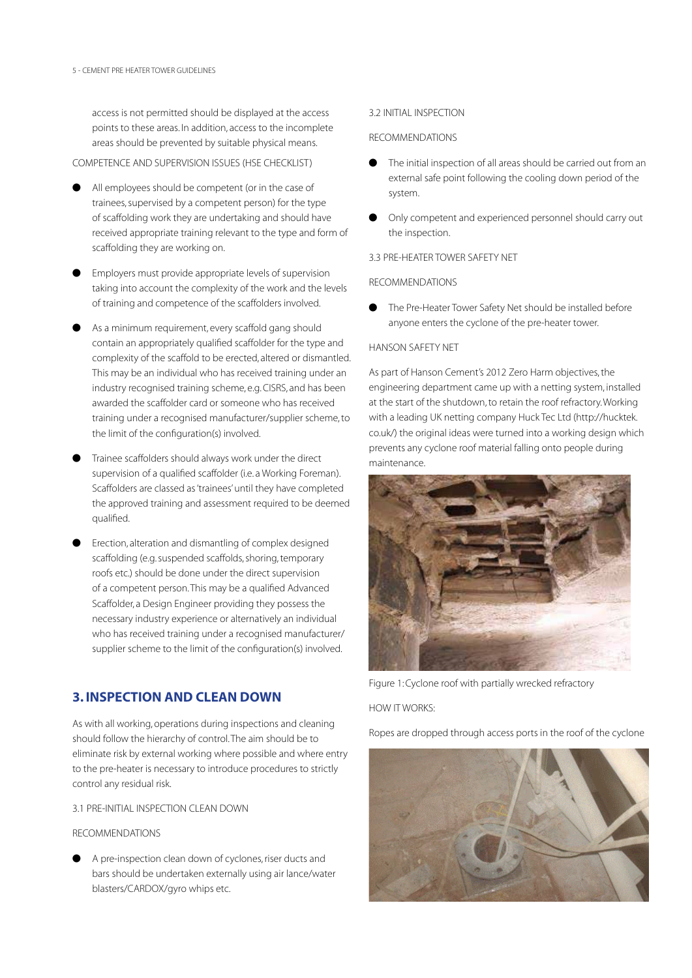access is not permitted should be displayed at the access points to these areas. In addition, access to the incomplete areas should be prevented by suitable physical means.

# Competence and supervision issues (HSE Checklist)

- All employees should be competent (or in the case of trainees, supervised by a competent person) for the type of scaffolding work they are undertaking and should have received appropriate training relevant to the type and form of scaffolding they are working on.
- l Employers must provide appropriate levels of supervision taking into account the complexity of the work and the levels of training and competence of the scaffolders involved.
- As a minimum requirement, every scaffold gang should contain an appropriately qualified scaffolder for the type and complexity of the scaffold to be erected, altered or dismantled. This may be an individual who has received training under an industry recognised training scheme, e.g. CISRS, and has been awarded the scaffolder card or someone who has received training under a recognised manufacturer/supplier scheme, to the limit of the configuration(s) involved.
- Trainee scaffolders should always work under the direct supervision of a qualified scaffolder (i.e. a Working Foreman). Scaffolders are classed as 'trainees' until they have completed the approved training and assessment required to be deemed qualified.
- l Erection, alteration and dismantling of complex designed scaffolding (e.g. suspended scaffolds, shoring, temporary roofs etc.) should be done under the direct supervision of a competent person. This may be a qualified Advanced Scaffolder, a Design Engineer providing they possess the necessary industry experience or alternatively an individual who has received training under a recognised manufacturer/ supplier scheme to the limit of the configuration(s) involved.

# 3. INSPECTION AND CLEAN DOWN

As with all working, operations during inspections and cleaning should follow the hierarchy of control. The aim should be to eliminate risk by external working where possible and where entry to the pre-heater is necessary to introduce procedures to strictly control any residual risk.

# 3.1 Pre-Initial Inspection Clean down

# Recommendations

A pre-inspection clean down of cyclones, riser ducts and bars should be undertaken externally using air lance/water blasters/CARDOX/gyro whips etc.

## 3.2 Initial Inspection

# Recommendations

- The initial inspection of all areas should be carried out from an external safe point following the cooling down period of the system.
- Only competent and experienced personnel should carry out the inspection.

#### 3.3 PRE-HEATER TOWER SAFETY NET

### Recommendations

**•** The Pre-Heater Tower Safety Net should be installed before anyone enters the cyclone of the pre-heater tower.

### Hanson Safety Net

As part of Hanson Cement's 2012 Zero Harm objectives, the engineering department came up with a netting system, installed at the start of the shutdown, to retain the roof refractory. Working with a leading UK netting company Huck Tec Ltd (http://hucktek. co.uk/) the original ideas were turned into a working design which prevents any cyclone roof material falling onto people during maintenance.



Figure 1: Cyclone roof with partially wrecked refractory

# How it Works:

Ropes are dropped through access ports in the roof of the cyclone

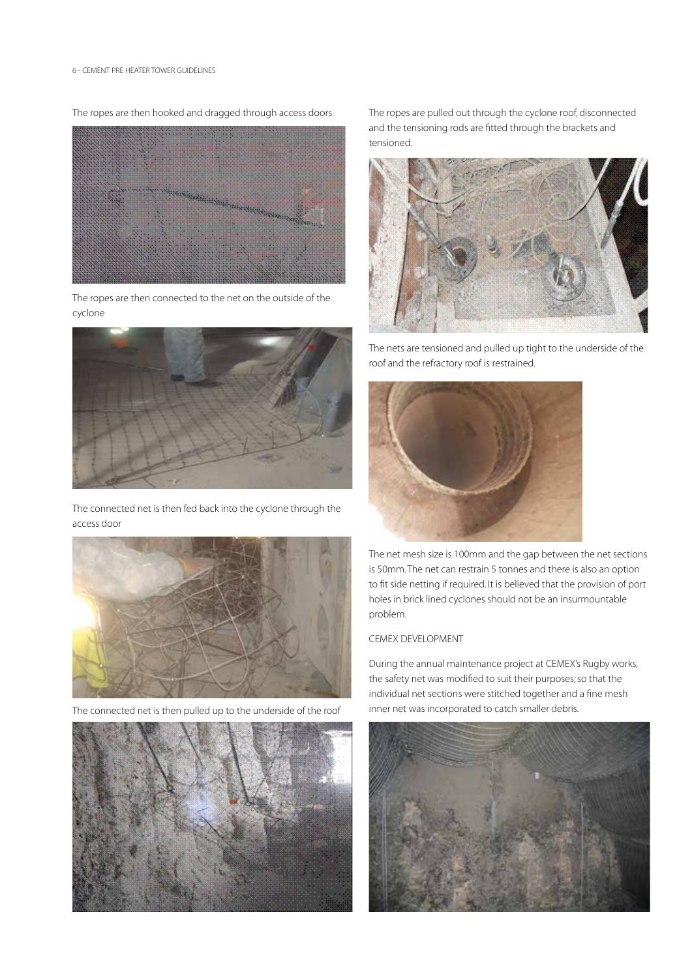The ropes are then hooked and dragged through access doors



The ropes are then connected to the net on the outside of the cyclone



The connected net is then fed back into the cyclone through the access door



The connected net is then pulled up to the underside of the roof



The ropes are pulled out through the cyclone roof, disconnected and the tensioning rods are fitted through the brackets and tensioned.



The nets are tensioned and pulled up tight to the underside of the roof and the refractory roof is restrained.



The net mesh size is 100mm and the gap between the net sections is 50mm. The net can restrain 5 tonnes and there is also an option to fit side netting if required. It is believed that the provision of port holes in brick lined cyclones should not be an insurmountable problem.

# CEMEX DEVELOPMENT

During the annual maintenance project at CEMEX's Rugby works, the safety net was modified to suit their purposes; so that the individual net sections were stitched together and a fine mesh inner net was incorporated to catch smaller debris.

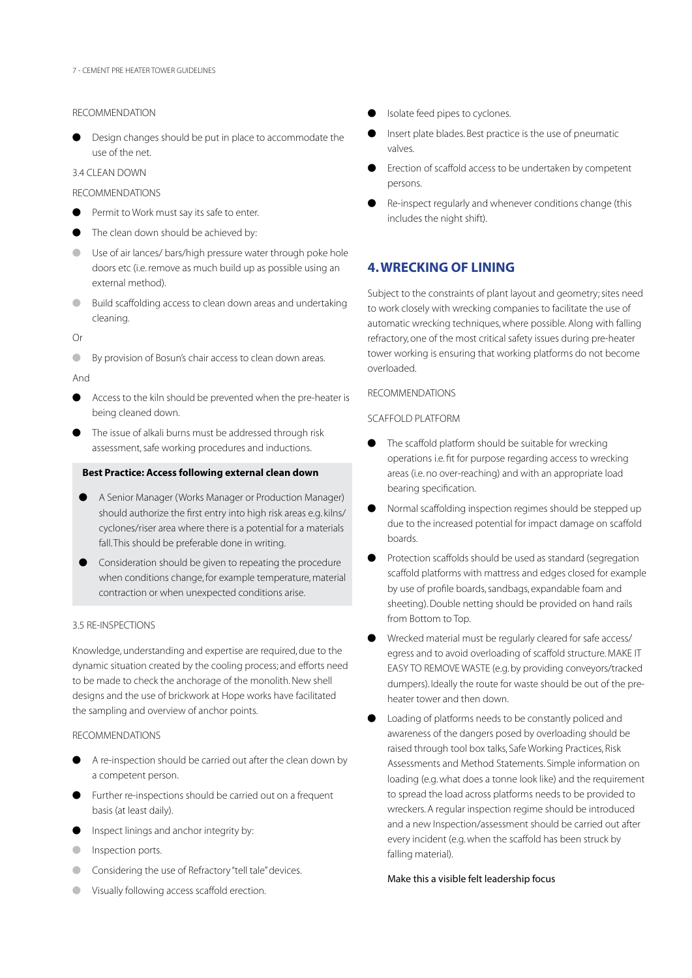#### **RECOMMENDATION**

**•** Design changes should be put in place to accommodate the use of the net.

# 3.4 Clean down

# Recommendations

- Permit to Work must say its safe to enter.
- The clean down should be achieved by:
- Use of air lances/ bars/high pressure water through poke hole doors etc (i.e. remove as much build up as possible using an external method).
- Build scaffolding access to clean down areas and undertaking cleaning.
- Or
- **By provision of Bosun's chair access to clean down areas.**

And

- $\bullet$  Access to the kiln should be prevented when the pre-heater is being cleaned down.
- The issue of alkali burns must be addressed through risk assessment, safe working procedures and inductions.

# **Best Practice: Access following external clean down**

- A Senior Manager (Works Manager or Production Manager) should authorize the first entry into high risk areas e.g. kilns/ cyclones/riser area where there is a potential for a materials fall. This should be preferable done in writing.
- Consideration should be given to repeating the procedure when conditions change, for example temperature, material contraction or when unexpected conditions arise.

# 3.5 Re-inspections

Knowledge, understanding and expertise are required, due to the dynamic situation created by the cooling process; and efforts need to be made to check the anchorage of the monolith. New shell designs and the use of brickwork at Hope works have facilitated the sampling and overview of anchor points.

# Recommendations

- $\bullet$  A re-inspection should be carried out after the clean down by a competent person.
- l Further re-inspections should be carried out on a frequent basis (at least daily).
- Inspect linings and anchor integrity by:
- Inspection ports.
- Considering the use of Refractory "tell tale" devices.
- Visually following access scaffold erection.
- Isolate feed pipes to cyclones.
- Insert plate blades. Best practice is the use of pneumatic valves.
- Erection of scaffold access to be undertaken by competent persons.
- Re-inspect regularly and whenever conditions change (this includes the night shift).

# 4. WRECKING OF LINING

Subject to the constraints of plant layout and geometry; sites need to work closely with wrecking companies to facilitate the use of automatic wrecking techniques, where possible. Along with falling refractory, one of the most critical safety issues during pre-heater tower working is ensuring that working platforms do not become overloaded.

### **RECOMMENDATIONS**

# SCAFFOLD PLATFORM

- The scaffold platform should be suitable for wrecking operations i.e. fit for purpose regarding access to wrecking areas (i.e. no over-reaching) and with an appropriate load bearing specification.
- l Normal scaffolding inspection regimes should be stepped up due to the increased potential for impact damage on scaffold boards.
- **•** Protection scaffolds should be used as standard (segregation) scaffold platforms with mattress and edges closed for example by use of profile boards, sandbags, expandable foam and sheeting). Double netting should be provided on hand rails from Bottom to Top.
- l Wrecked material must be regularly cleared for safe access/ egress and to avoid overloading of scaffold structure. MAKE IT EASY TO REMOVE WASTE (e.g. by providing conveyors/tracked dumpers). Ideally the route for waste should be out of the preheater tower and then down.
- l Loading of platforms needs to be constantly policed and awareness of the dangers posed by overloading should be raised through tool box talks, Safe Working Practices, Risk Assessments and Method Statements. Simple information on loading (e.g. what does a tonne look like) and the requirement to spread the load across platforms needs to be provided to wreckers. A regular inspection regime should be introduced and a new Inspection/assessment should be carried out after every incident (e.g. when the scaffold has been struck by falling material).

# Make this a visible felt leadership focus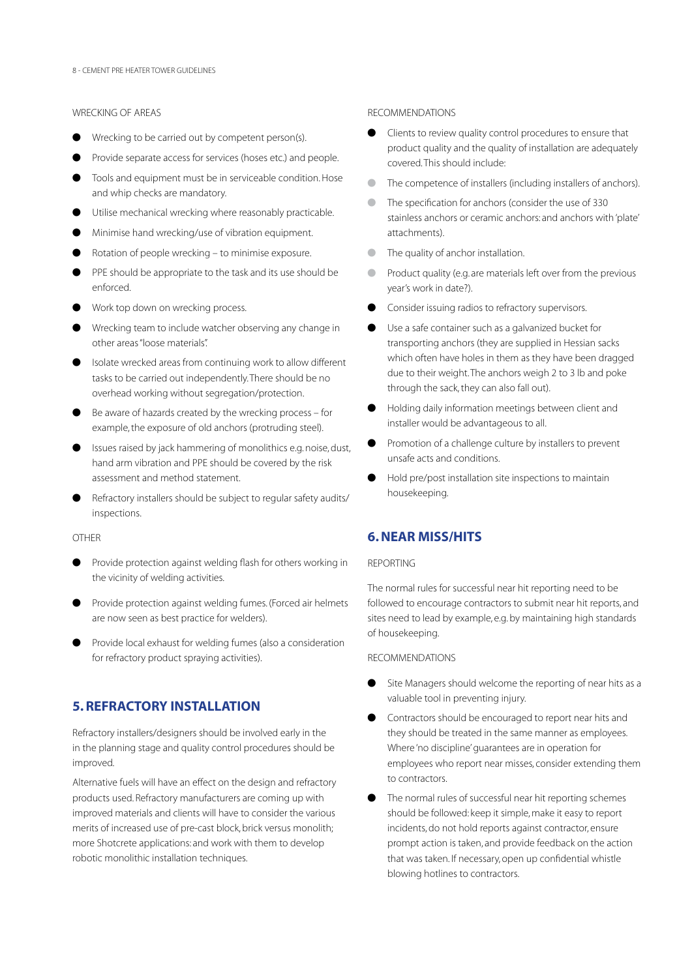# Wrecking of areas

- Wrecking to be carried out by competent person(s).
- Provide separate access for services (hoses etc.) and people.
- $\bullet$  Tools and equipment must be in serviceable condition. Hose and whip checks are mandatory.
- **I** Utilise mechanical wrecking where reasonably practicable.
- Minimise hand wrecking/use of vibration equipment.
- Rotation of people wrecking to minimise exposure.
- PPE should be appropriate to the task and its use should be enforced.
- Work top down on wrecking process.
- Wrecking team to include watcher observing any change in other areas "loose materials".
- l Isolate wrecked areas from continuing work to allow different tasks to be carried out independently. There should be no overhead working without segregation/protection.
- Be aware of hazards created by the wrecking process for example, the exposure of old anchors (protruding steel).
- l Issues raised by jack hammering of monolithics e.g. noise, dust, hand arm vibration and PPE should be covered by the risk assessment and method statement.
- Refractory installers should be subject to regular safety audits/ inspections.

**OTHER** 

- **Provide protection against welding flash for others working in** the vicinity of welding activities.
- l Provide protection against welding fumes. (Forced air helmets are now seen as best practice for welders).
- l Provide local exhaust for welding fumes (also a consideration for refractory product spraying activities).

# 5. REFRACTORY INSTALLATION

Refractory installers/designers should be involved early in the in the planning stage and quality control procedures should be improved.

Alternative fuels will have an effect on the design and refractory products used. Refractory manufacturers are coming up with improved materials and clients will have to consider the various merits of increased use of pre-cast block, brick versus monolith; more Shotcrete applications: and work with them to develop robotic monolithic installation techniques.

#### RECOMMENDATIONS

- Clients to review quality control procedures to ensure that product quality and the quality of installation are adequately covered. This should include:
- The competence of installers (including installers of anchors).
- The specification for anchors (consider the use of 330 stainless anchors or ceramic anchors: and anchors with 'plate' attachments).
- **I** The quality of anchor installation.
- **In Product quality (e.g. are materials left over from the previous** year's work in date?).
- Consider issuing radios to refractory supervisors.
- Use a safe container such as a galvanized bucket for transporting anchors (they are supplied in Hessian sacks which often have holes in them as they have been dragged due to their weight. The anchors weigh 2 to 3 lb and poke through the sack, they can also fall out).
- Holding daily information meetings between client and installer would be advantageous to all.
- Promotion of a challenge culture by installers to prevent unsafe acts and conditions.
- l Hold pre/post installation site inspections to maintain housekeeping.

# 6. NEAR MISS/HITS

#### Reporting

The normal rules for successful near hit reporting need to be followed to encourage contractors to submit near hit reports, and sites need to lead by example, e.g. by maintaining high standards of housekeeping.

## **RECOMMENDATIONS**

- Site Managers should welcome the reporting of near hits as a valuable tool in preventing injury.
- Contractors should be encouraged to report near hits and they should be treated in the same manner as employees. Where 'no discipline' guarantees are in operation for employees who report near misses, consider extending them to contractors.
- The normal rules of successful near hit reporting schemes should be followed: keep it simple, make it easy to report incidents, do not hold reports against contractor, ensure prompt action is taken, and provide feedback on the action that was taken. If necessary, open up confidential whistle blowing hotlines to contractors.